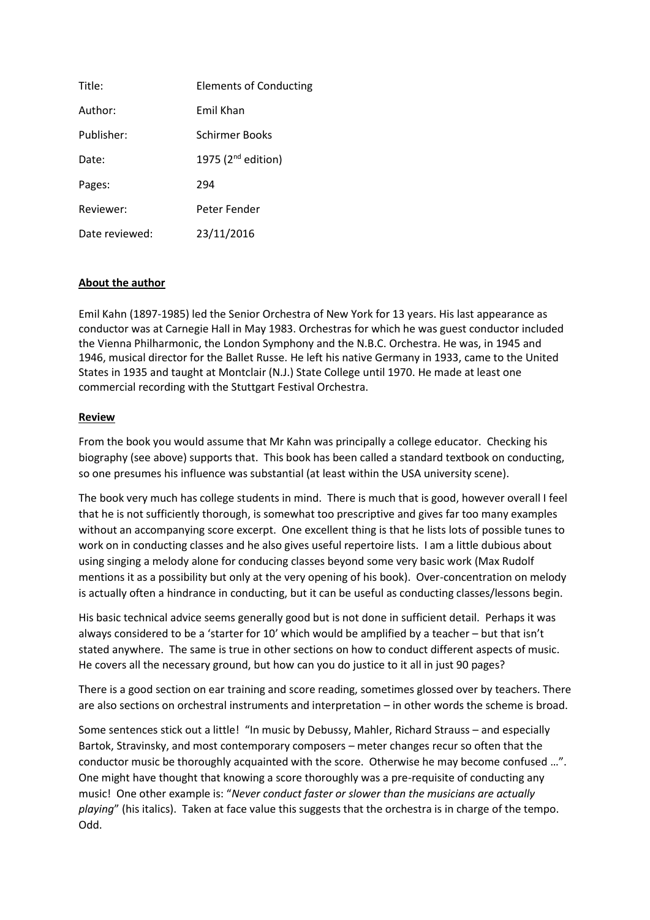| Title:         | <b>Elements of Conducting</b> |
|----------------|-------------------------------|
| Author:        | Emil Khan                     |
| Publisher:     | Schirmer Books                |
| Date:          | 1975 ( $2^{nd}$ edition)      |
| Pages:         | 294                           |
| Reviewer:      | Peter Fender                  |
| Date reviewed: | 23/11/2016                    |

## **About the author**

Emil Kahn (1897-1985) led the Senior Orchestra of New York for 13 years. His last appearance as conductor was at Carnegie Hall in May 1983. Orchestras for which he was guest conductor included the Vienna Philharmonic, the London Symphony and the N.B.C. Orchestra. He was, in 1945 and 1946, musical director for the Ballet Russe. He left his native Germany in 1933, came to the United States in 1935 and taught at Montclair (N.J.) State College until 1970. He made at least one commercial recording with the Stuttgart Festival Orchestra.

## **Review**

From the book you would assume that Mr Kahn was principally a college educator. Checking his biography (see above) supports that. This book has been called a standard textbook on conducting, so one presumes his influence was substantial (at least within the USA university scene).

The book very much has college students in mind. There is much that is good, however overall I feel that he is not sufficiently thorough, is somewhat too prescriptive and gives far too many examples without an accompanying score excerpt. One excellent thing is that he lists lots of possible tunes to work on in conducting classes and he also gives useful repertoire lists. I am a little dubious about using singing a melody alone for conducing classes beyond some very basic work (Max Rudolf mentions it as a possibility but only at the very opening of his book). Over-concentration on melody is actually often a hindrance in conducting, but it can be useful as conducting classes/lessons begin.

His basic technical advice seems generally good but is not done in sufficient detail. Perhaps it was always considered to be a 'starter for 10' which would be amplified by a teacher – but that isn't stated anywhere. The same is true in other sections on how to conduct different aspects of music. He covers all the necessary ground, but how can you do justice to it all in just 90 pages?

There is a good section on ear training and score reading, sometimes glossed over by teachers. There are also sections on orchestral instruments and interpretation – in other words the scheme is broad.

Some sentences stick out a little! "In music by Debussy, Mahler, Richard Strauss – and especially Bartok, Stravinsky, and most contemporary composers – meter changes recur so often that the conductor music be thoroughly acquainted with the score. Otherwise he may become confused …". One might have thought that knowing a score thoroughly was a pre-requisite of conducting any music! One other example is: "*Never conduct faster or slower than the musicians are actually playing*" (his italics). Taken at face value this suggests that the orchestra is in charge of the tempo. Odd.